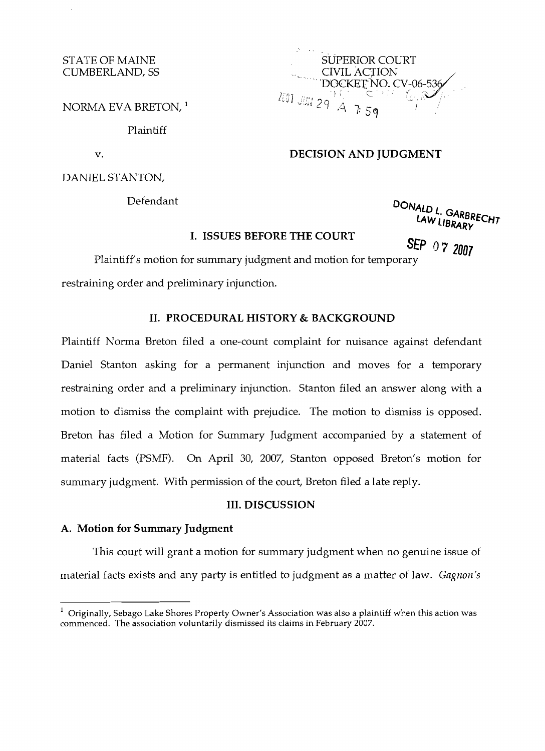#### STATE OF MAINE CUMBERLAND, SS

NORMA EVA BRETON, <sup>1</sup>

Plaintiff

DANIEL STANTON,

SUPERIOR COURT CIVIL ACTION DOCKET NO. CV-06-536  $\frac{201 \text{ J/m}}{29} \frac{1}{A}$ 

## v. **DECISION AND JUDGMENT**

Defendant **DONALDL** 

# LAW LIBRARY<br>I. ISSUES BEFORE THE COURT **SEPART SERVICE**

**cP** *07 2007* 

Plaintiff's motion for summary judgment and motion for temporary

restraining order and preliminary injunction.

#### **II. PROCEDURAL HISTORY & BACKGROUND**

Plaintiff Norma Breton filed a one-count complaint for nuisance against defendant Daniel Stanton asking for a permanent injunction and moves for a temporary restraining order and a preliminary injunction. Stanton filed an answer along with a motion to dismiss the complaint with prejudice. The motion to dismiss is opposed. Breton has filed a Motion for Summary Judgment accompanied by a statement of material facts (PSMF). On April 30, 2007, Stanton opposed Breton's motion for summary judgment. With permission of the court, Breton filed a late reply.

## **III. DISCUSSION**

#### **A. Motion for Summary Judgment**

This court will grant a motion for summary judgment when no genuine issue of material facts exists and any party is entitled to judgment as a matter of law. *Gagnon's* 

 $1$  Originally, Sebago Lake Shores Property Owner's Association was also a plaintiff when this action was commenced. The association voluntarily dismissed its claims in February 2007.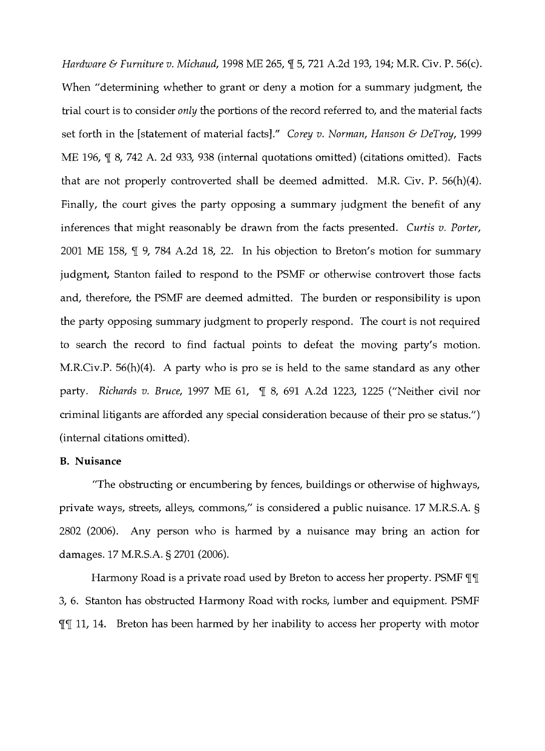*Hardware & Furniture v. Michaud,* 1998 ME 265,  $\mathbb{I}$  5, 721 A.2d 193, 194; M.R. Civ. P. 56(c). When "determining whether to grant or deny a motion for a summary judgment, the trial court is to consider *only* the portions of the record referred to, and the material facts set forth in the [statement of material facts]." *Corey v. Norman, Hanson* & *DeTroy,* 1999 ME 196,  $\P$  8, 742 A. 2d 933, 938 (internal quotations omitted) (citations omitted). Facts that are not properly controverted shall be deemed admitted. M.R. Civ. P. 56(h)(4). Finally, the court gives the party opposing a summary judgment the benefit of any inferences that might reasonably be drawn from the facts presented. *Curtis v. Porter,*  2001 ME 158,  $\P$  9, 784 A.2d 18, 22. In his objection to Breton's motion for summary judgment, Stanton failed to respond to the PSMF or otherwise controvert those facts and, therefore, the PSMF are deemed admitted. The burden or responsibility is upon the party opposing summary judgment to properly respond. The court is not required to search the record to find factual points to defeat the moving party's motion. M.R.Civ.P. 56(h)(4). A party who is pro se is held to the same standard as any other party. *Richards v. Bruce,* 1997 ME 61,  $\parallel$  8, 691 A.2d 1223, 1225 ("Neither civil nor criminal litigants are afforded any special consideration because of their pro se status.") (internal citations omitted).

#### **B. Nuisance**

"The obstructing or encumbering by fences, buildings or otherwise of highways, private ways, streets, alleys, commons," is considered a public nuisance. 17 M.R.S.A. § 2802 (2006). Any person who is harmed by a nuisance may bring an action for damages. 17 M.R.S.A. § 2701 (2006).

Harmony Road is a private road used by Breton to access her property. PSMF  $\P\P$ 3, 6. Stanton has obstructed Harmony Road with rocks, lumber and equipment. PSMF **III** 11, 14. Breton has been harmed by her inability to access her property with motor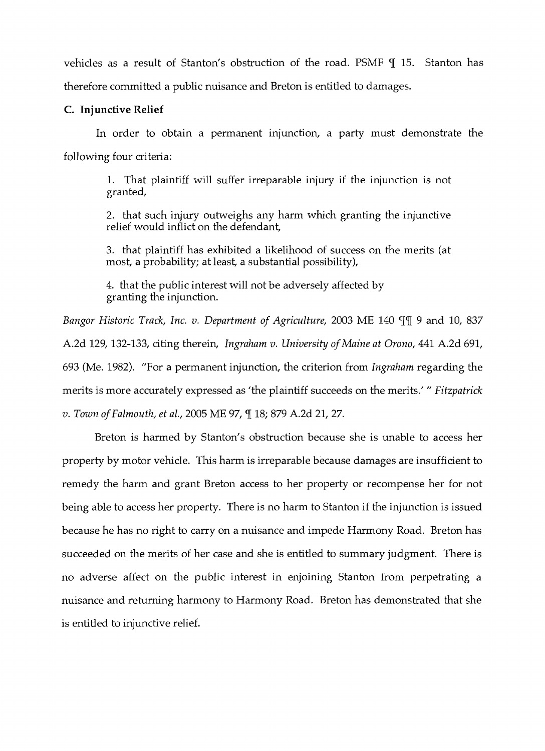vehicles as a result of Stanton's obstruction of the road. PSMF  $\P$  15. Stanton has therefore committed a public nuisance and Breton is entitled to damages.

### C. **Injunctive Relief**

In order to obtain a permanent injunction, a party must demonstrate the following four criteria:

1. That plaintiff will suffer irreparable injury if the injunction is not granted,

2. that such injury outweighs any harm which granting the injunctive relief would inflict on the defendant,

3. that plaintiff has exhibited a likelihood of success on the merits (at most, a probability; at least, a substantial possibility),

4. that the public interest will not be adversely affected by granting the injunction.

*Bangor Historic Track, Inc. v. Department of Agriculture, 2003 ME 140 III 9 and 10, 837* A.2d 129, 132-133, citing therein, *Ingraham v. University ofMaine at Orono,* 441 A.2d 691, 693 (Me. 1982). "For a permanent injunction, the criterion from *Ingraham* regarding the merits is more accurately expressed as 'the plaintiff succeeds on the merits.' " Fitzpatrick *v. Town of Falmouth, et al., 2005 ME 97, ¶ 18; 879 A.2d 21, 27.* 

Breton is harmed by Stanton's obstruction because she is unable to access her property by motor vehicle. This harm is irreparable because damages are insufficient to remedy the harm and grant Breton access to her property or recompense her for not being able to access her property. There is no harm to Stanton if the injunction is issued because he has no right to carry on a nuisance and impede Harmony Road. Breton has succeeded on the merits of her case and she is entitled to summary judgment. There is no adverse affect on the public interest in enjoining Stanton from perpetrating a nuisance and returning harmony to Harmony Road. Breton has demonstrated that she is entitled to injunctive relief.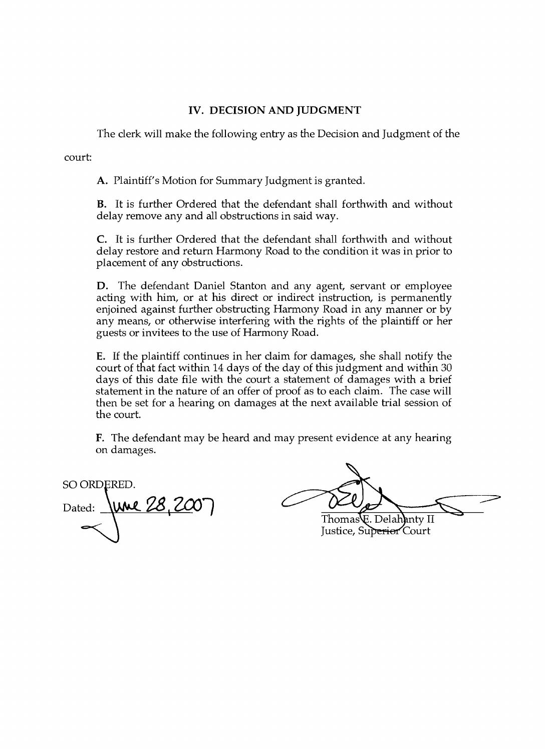# **IV. DECISION AND JUDGMENT**

The clerk will make the following entry as the Decision and Judgment of the

court:

**A.** Plaintiff's Motion for Summary Judgment is granted.

**B.** It is further Ordered that the defendant shall forthwith and without delay remove any and all obstructions in said way.

C. It is further Ordered that the defendant shall forthwith and without delay restore and return Harmony Road to the condition it was in prior to placement of any obstructions.

**D.** The defendant Daniel Stanton and any agent, servant or employee acting with him, or at his direct or indirect instruction, is permanently enjoined against further obstructing Harmony Road in any manner or by any means, or otherwise interfering with the rights of the plaintiff or her guests or invitees to the use of Harmony Road.

**E.** If the plaintiff continues in her claim for damages, she shall notify the court of that fact within 14 days of the day of this judgment and within 30 days of this date file with the court a statement of damages with a brief statement in the nature of an offer of proof as to each claim. The case will then be set for a hearing on damages at the next available trial session of the court.

**F.** The defendant may be heard and may present evidence at any hearing on damages.

SO ORDERED. <u>June 28, 20</u> Dated:

Thomas E. Delahanty II Justice, Superior Court